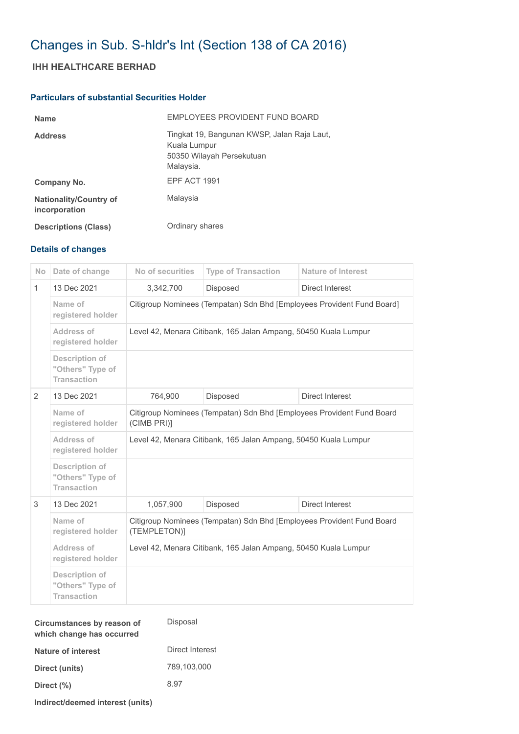# Changes in Sub. S-hldr's Int (Section 138 of CA 2016)

## **IHH HEALTHCARE BERHAD**

#### **Particulars of substantial Securities Holder**

| <b>Name</b>                                    | EMPLOYEES PROVIDENT FUND BOARD                                                                        |
|------------------------------------------------|-------------------------------------------------------------------------------------------------------|
| <b>Address</b>                                 | Tingkat 19, Bangunan KWSP, Jalan Raja Laut,<br>Kuala Lumpur<br>50350 Wilayah Persekutuan<br>Malaysia. |
| Company No.                                    | EPF ACT 1991                                                                                          |
| <b>Nationality/Country of</b><br>incorporation | Malaysia                                                                                              |
| <b>Descriptions (Class)</b>                    | Ordinary shares                                                                                       |

### **Details of changes**

| <b>No</b>    | Date of change                                                  | No of securities                                                                      | <b>Type of Transaction</b> | <b>Nature of Interest</b> |  |
|--------------|-----------------------------------------------------------------|---------------------------------------------------------------------------------------|----------------------------|---------------------------|--|
| $\mathbf{1}$ | 13 Dec 2021                                                     | 3,342,700                                                                             | Disposed                   | Direct Interest           |  |
|              | Name of<br>registered holder                                    | Citigroup Nominees (Tempatan) Sdn Bhd [Employees Provident Fund Board]                |                            |                           |  |
|              | Address of<br>registered holder                                 | Level 42, Menara Citibank, 165 Jalan Ampang, 50450 Kuala Lumpur                       |                            |                           |  |
|              | <b>Description of</b><br>"Others" Type of<br><b>Transaction</b> |                                                                                       |                            |                           |  |
| 2            | 13 Dec 2021                                                     | 764,900                                                                               | Disposed                   | Direct Interest           |  |
|              | Name of<br>registered holder                                    | Citigroup Nominees (Tempatan) Sdn Bhd [Employees Provident Fund Board<br>(CIMB PRI)]  |                            |                           |  |
|              | Address of<br>registered holder                                 | Level 42, Menara Citibank, 165 Jalan Ampang, 50450 Kuala Lumpur                       |                            |                           |  |
|              | <b>Description of</b><br>"Others" Type of<br><b>Transaction</b> |                                                                                       |                            |                           |  |
| 3            | 13 Dec 2021                                                     | 1,057,900                                                                             | Disposed                   | Direct Interest           |  |
|              | Name of<br>registered holder                                    | Citigroup Nominees (Tempatan) Sdn Bhd [Employees Provident Fund Board<br>(TEMPLETON)] |                            |                           |  |
|              | Address of<br>registered holder                                 | Level 42, Menara Citibank, 165 Jalan Ampang, 50450 Kuala Lumpur                       |                            |                           |  |
|              | <b>Description of</b><br>"Others" Type of<br><b>Transaction</b> |                                                                                       |                            |                           |  |

**Indirect/deemed interest (units)**